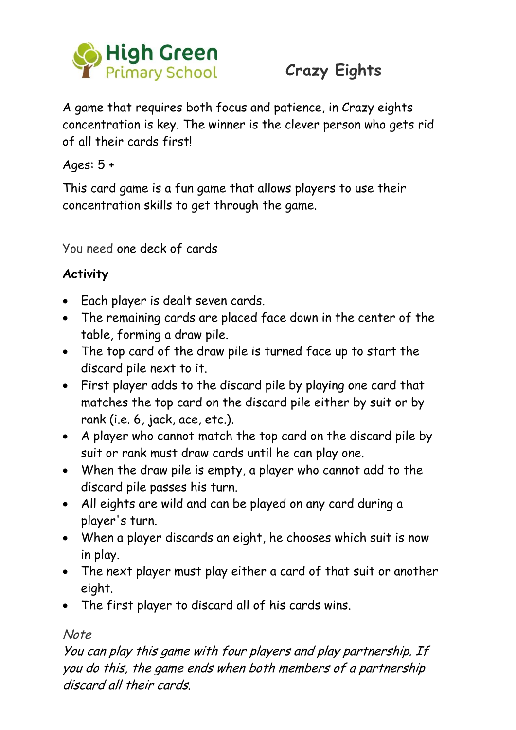

# **Crazy Eights**

A game that requires both focus and patience, in Crazy eights concentration is key. The winner is the clever person who gets rid of all their cards first!

Ages: 5 +

This card game is a fun game that allows players to use their concentration skills to get through the game.

You need one deck of cards

### **Activity**

- Each player is dealt seven cards.
- The remaining cards are placed face down in the center of the table, forming a draw pile.
- The top card of the draw pile is turned face up to start the discard pile next to it.
- First player adds to the discard pile by playing one card that matches the top card on the discard pile either by suit or by rank (i.e. 6, jack, ace, etc.).
- A player who cannot match the top card on the discard pile by suit or rank must draw cards until he can play one.
- When the draw pile is empty, a player who cannot add to the discard pile passes his turn.
- All eights are wild and can be played on any card during a player's turn.
- When a player discards an eight, he chooses which suit is now in play.
- The next player must play either a card of that suit or another eight.
- The first player to discard all of his cards wins.

#### Note

You can play this game with four players and play partnership. If you do this, the game ends when both members of a partnership discard all their cards.